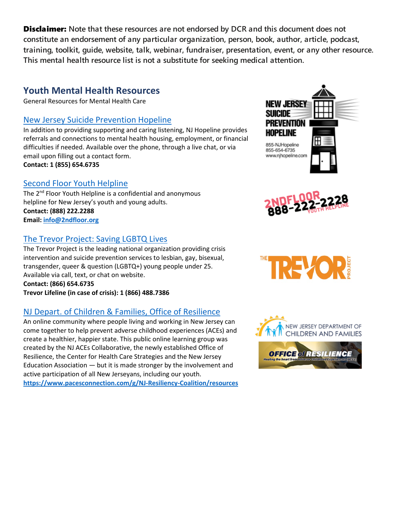## **Youth Mental Health Resources**

General Resources for Mental Health Care

#### [New Jersey Suicide Prevention Hopeline](http://www.njhopeline.com/)

In addition to providing supporting and caring listening, NJ Hopeline provides referrals and connections to mental health housing, employment, or financial difficulties if needed. Available over the phone, through a live chat, or via email upon filling out a contact form. **Contact: 1 (855) 654.6735** 

#### Second [Floor Youth Helpline](http://www.2ndfloor.org/)

The 2<sup>nd</sup> Floor Youth Helpline is a confidential and anonymous helpline for New Jersey's youth and young adults. **Contact: (888) 222.2288 Email[: info@2ndfloor.org](mailto:info@2ndfloor.org)**

#### [The Trevor Project: Saving LGBTQ Lives](http://www.thetrevorproject.org/)

The Trevor Project is the leading national organization providing crisis intervention and suicide prevention services to lesbian, gay, bisexual, transgender, queer & question (LGBTQ+) young people under 25. Available via call, text, or chat on website. **Contact: (866) 654.6735 Trevor Lifeline (in case of crisis): 1 (866) 488.7386**

## NJ Depart. of Children & [Families, Office of Resilience](https://www.pacesconnection.com/g/NJ-Resiliency-Coalition/resources)

An online community where people living and working in New Jersey can come together to help prevent adverse childhood experiences (ACEs) and create a healthier, happier state. This public online learning group was created by the NJ ACEs Collaborative, the newly established Office of Resilience, the Center for Health Care Strategies and the New Jersey Education Association — but it is made stronger by the involvement and active participation of all New Jerseyans, including our youth. **<https://www.pacesconnection.com/g/NJ-Resiliency-Coalition/resources>**







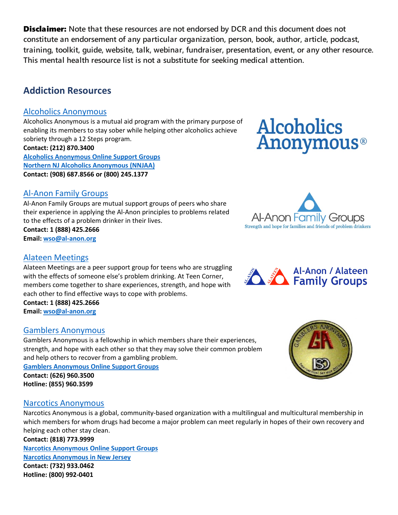# **Addiction Resources**

## [Alcoholics Anonymous](https://aa.org/)

Alcoholics Anonymous is a mutual aid program with the primary purpose of enabling its members to stay sober while helping other alcoholics achieve sobriety through a 12 Steps program. **Contact: (212) 870.3400**

**[Alcoholics Anonymous Online Support Groups](https://aa-intergroup.org/) Northern NJ [Alcoholics Anonymous \(NNJAA\)](https://www.nnjaa.org/) Contact: (908) 687.8566 or (800) 245.1377**

## [Al-Anon Family Groups](https://al-anon.org/al-anon-meetings/find-an-al-anon-meeting/)

Al-Anon Family Groups are mutual support groups of peers who share their experience in applying the Al-Anon principles to problems related to the effects of a problem drinker in their lives.

**Contact: 1 (888) 425.2666 Email[: wso@al-anon.org](mailto:wso@al-anon.org)**

#### [Alateen Meetings](https://al-anon.org/newcomers/teen-corner-alateen/)

Alateen Meetings are a peer support group for teens who are struggling with the effects of someone else's problem drinking. At Teen Corner, members come together to share experiences, strength, and hope with each other to find effective ways to cope with problems. **Contact: 1 (888) 425.2666 Email[: wso@al-anon.org](mailto:wso@al-anon.org)**

#### [Gamblers Anonymous](https://www.gamblersanonymous.org/ga/)

Gamblers Anonymous is a fellowship in which members share their experiences, strength, and hope with each other so that they may solve their common problem and help others to recover from a gambling problem.

**[Gamblers Anonymous Online Support Groups](https://area12ga.com/)**

**Contact: (626) 960.3500 Hotline: (855) 960.3599**

#### [Narcotics Anonymous](https://na.org/)

Narcotics Anonymous is a global, community-based organization with a multilingual and multicultural membership in which members for whom drugs had become a major problem can meet regularly in hopes of their own recovery and helping each other stay clean.

**Contact: (818) 773.9999 [Narcotics Anonymous Online Support Groups](https://virtual-na.org/meetings/) [Narcotics Anonymous in New Jersey](https://nanj.org/) Contact: (732) 933.0462 Hotline: (800) 992-0401** 







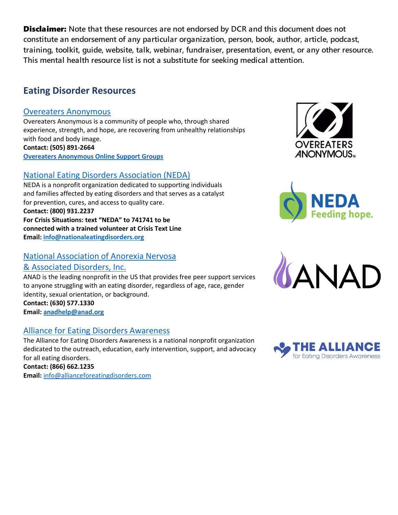## **Eating Disorder Resources**

#### [Overeaters Anonymous](https://oa.org/)

Overeaters Anonymous is a community of people who, through shared experience, strength, and hope, are recovering from unhealthy relationships with food and body image. **Contact: (505) 891-2664 [Overeaters Anonymous Online Support Groups](https://oa.org/find-a-meeting/?type=1)**

## [National Eating Disorders Association \(NEDA\)](https://www.nationaleatingdisorders.org/)

NEDA is a nonprofit organization dedicated to supporting individuals and families affected by eating disorders and that serves as a catalyst for prevention, cures, and access to quality care. **Contact: (800) 931.2237 For Crisis Situations: text "NEDA" to 741741 to be connected with a trained volunteer at Crisis Text Line Email[: info@nationaleatingdisorders.org](mailto:info@nationaleatingdisorders.org)**

## [National Association of Anorexia Nervosa](https://anad.org/)

#### [& Associated Disorders, Inc.](https://anad.org/)

ANAD is the leading nonprofit in the US that provides free peer support services to anyone struggling with an eating disorder, regardless of age, race, gender identity, sexual orientation, or background.

**Contact: (630) 577.1330 Email[: anadhelp@anad.org](mailto:anadhelp@anad.org)**

#### [Alliance for Eating Disorders Awareness](https://www.allianceforeatingdisorders.com/find-treatment/)

The Alliance for Eating Disorders Awareness is a national nonprofit organization dedicated to the outreach, education, early intervention, support, and advocacy for all eating disorders. **Contact: (866) 662.1235 Email:** [info@allianceforeatingdisorders.com](mailto:info@allianceforeatingdisorders.com)







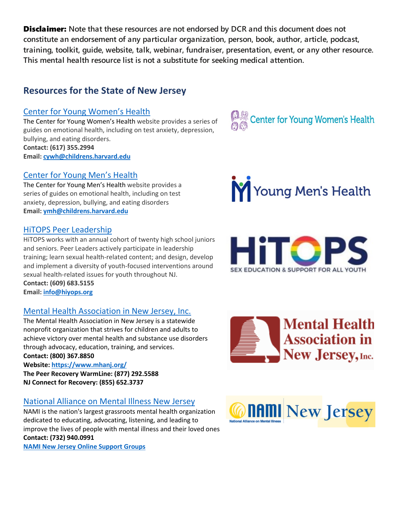# **Resources for the State of New Jersey**

## Center for Young [Women's](https://youngwomenshealth.org/contact-us/) Health

The Center for Young Women's Health website provides a series of guides on emotional health, including on test anxiety, depression, bullying, and eating disorders. **Contact: (617) 355.2994 Email[: cywh@childrens.harvard.edu](mailto:cywh@childrens.harvard.edu)**

## [Center](https://youngmenshealthsite.org/) for Young Men's Health

The Center for Young Men's Health website provides a series of guides on emotional health, including on test anxiety, depression, bullying, and eating disorders **Email[: ymh@childrens.harvard.edu](mailto:ymh@childrens.harvard.edu)**

## [HiTOPS Peer Leadership](https://www.hitops.org/sex-education-and-training/peer-leadership-program/)

HiTOPS works with an annual cohort of twenty high school juniors and seniors. Peer Leaders actively participate in leadership training; learn sexual health-related content; and design, develop and implement a diversity of youth-focused interventions around sexual health-related issues for youth throughout NJ. **Contact: (609) 683.5155**

**Email[: info@hiyops.org](mailto:info@hiyops.org)**

## [Mental Health Association in New Jersey, Inc.](https://www.mhanj.org/)

The Mental Health Association in New Jersey is a statewide nonprofit organization that strives for children and adults to achieve victory over mental health and substance use disorders through advocacy, education, training, and services. **Contact: (800) 367.8850** 

**Website:<https://www.mhanj.org/>**

**The Peer Recovery WarmLine: (877) 292.5588 NJ Connect for Recovery: (855) 652.3737**

# [National Alliance on Mental Illness New Jersey](https://www.naminj.org/online-support-groups/)

NAMI is the nation's largest grassroots mental health organization dedicated to educating, advocating, listening, and leading to improve the lives of people with mental illness and their loved ones **Contact: (732) 940.0991** 

**[NAMI New Jersey Online Support Groups](http://www.naminj.org/online-support-groups/)**





**M** Young Men's Health





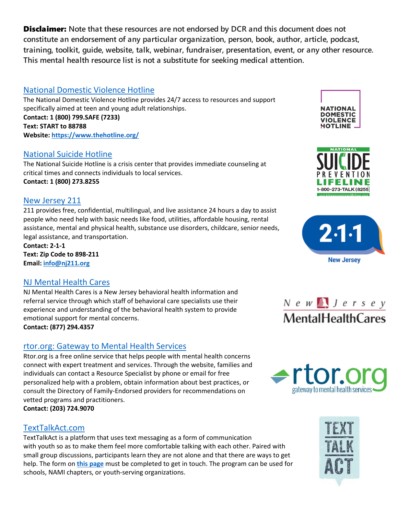## [National Domestic Violence Hotline](https://www.thehotline.org/)

The National Domestic Violence Hotline provides 24/7 access to resources and support specifically aimed at teen and young adult relationships. **Contact: 1 (800) 799.SAFE (7233) Text: START to 88788 Website:<https://www.thehotline.org/>**

#### [National Suicide Hotline](https://suicidepreventionlifeline.org/)

The National Suicide Hotline is a crisis center that provides immediate counseling at critical times and connects individuals to local services. **Contact: 1 (800) 273.8255**

#### [New Jersey 211](https://www.nj211.org/)

211 provides free, confidential, multilingual, and live assistance 24 hours a day to assist people who need help with basic needs like food, utilities, affordable housing, rental assistance, mental and physical health, substance use disorders, childcare, senior needs, legal assistance, and transportation.

**Contact: 2-1-1 Text: Zip Code to 898-211 Email[: info@nj211.org](mailto:info@nj211.org)**

#### [NJ Mental Health Cares](https://www.njmentalhealthcares.org/)

NJ Mental Health Cares is a New Jersey behavioral health information and referral service through which staff of behavioral care specialists use their experience and understanding of the behavioral health system to provide emotional support for mental concerns.

**Contact: (877) 294.4357**

## [rtor.org: Gateway to Mental Health Services](http://rtor.org/)

Rtor.org is a free online service that helps people with mental health concerns connect with expert treatment and services. Through the website, families and individuals can contact a Resource Specialist by phone or email for free personalized help with a problem, obtain information about best practices, or consult the Directory of Family-Endorsed providers for recommendations on vetted programs and practitioners. **Contact: (203) 724.9070** 

#### [TextTalkAct.com](https://texttalkact.com/services/)

TextTalkAct is a platform that uses text messaging as a form of communication with youth so as to make them feel more comfortable talking with each other. Paired with small group discussions, participants learn they are not alone and that there are ways to get help. The form on **[this page](https://texttalkact.com/contact/)** must be completed to get in touch. The program can be used for schools, NAMI chapters, or youth-serving organizations.











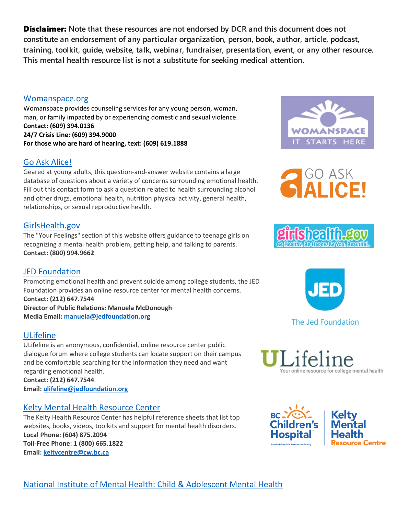[National Institute of Mental Health: Child &](https://www.nimh.nih.gov/health/topics/child-and-adolescent-mental-health/) Adolescent Mental Health

**Disclaimer:** Note that these resources are not endorsed by DCR and this document does not **constitute an endorsement of any particular organization, person, book, author, article, podcast, training, toolkit, guide, website, talk, webinar, fundraiser, presentation, event, or any other resource. This mental health resource list is not a substitute for seeking medical attention.**

#### [Womanspace.org](https://womanspace.org/)

Womanspace provides counseling services for any young person, woman, man, or family impacted by or experiencing domestic and sexual violence. **Contact: (609) 394.0136 24/7 Crisis Line: (609) 394.9000 For those who are hard of hearing, text: (609) 619.1888**

#### Go Ask [Alice!](https://goaskalice.columbia.edu/)

Geared at young adults, this question-and-answer website contains a large database of questions about a variety of concerns surrounding emotional health. Fill out this contact form to ask a question related to health surrounding alcohol and other drugs, emotional health, nutrition physical activity, general health, relationships, or sexual reproductive health.

#### [GirlsHealth.gov](https://www.girlshealth.gov/index.html)

The "Your Feelings" section of this website offers guidance to teenage girls on recognizing a mental health problem, getting help, and talking to parents. **Contact: (800) 994.9662**

#### JED [Foundation](https://www.jedfoundation.org/students-with-mental-troubles-on-rise/)

Promoting emotional health and prevent suicide among college students, the JED Foundation provides an online resource center for mental health concerns. **Contact: (212) 647.7544 Director of Public Relations: Manuela McDonough Media Email[: manuela@jedfoundation.org](mailto:manuela@jedfoundation.org)**

#### [ULifeline](http://www.ulifeline.org/)

ULifeline is an anonymous, confidential, online resource center public dialogue forum where college students can locate support on their campus and be comfortable searching for the information they need and want regarding emotional health.

**Contact: (212) 647.7544 Email[: ulifeline@jedfoundation.org](mailto:ulifeline@jedfoundation.org)**

#### Kelty Mental Health [Resource](https://keltymentalhealth.ca/medication-therapy/types-therapy) Center

The Kelty Health Resource Center has helpful reference sheets that list top websites, books, videos, toolkits and support for mental health disorders. **Local Phone: (604) 875.2094 Toll-Free Phone: 1 (800) 665.1822 Email[: keltycentre@cw.bc.ca](mailto:keltycentre@cw.bc.ca)** 



GO ASK







our online resource for college mental health

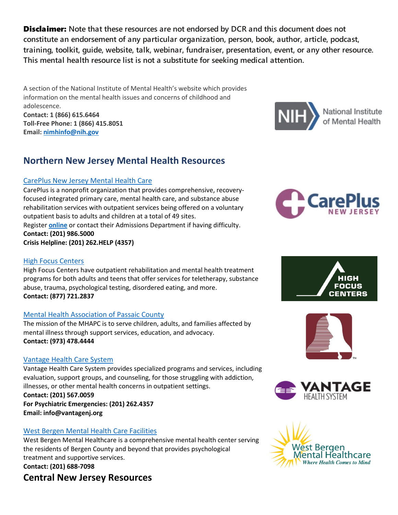A section of the National Institute of Mental Health's website which provides information on the mental health issues and concerns of childhood and adolescence. **Contact: 1 (866) 615.6464 Toll-Free Phone: 1 (866) 415.8051 Email[: nimhinfo@nih.gov](mailto:nimhinfo@nih.gov)**

# **Northern New Jersey Mental Health Resources**

## [CarePlus New Jersey Mental Health Care](https://careplusnj.org/requestappointment/)

CarePlus is a nonprofit organization that provides comprehensive, recoveryfocused integrated primary care, mental health care, and substance abuse rehabilitation services with outpatient services being offered on a voluntary outpatient basis to adults and children at a total of 49 sites.

Register **[online](https://careplusnj.org/requestappointment/)** or contact their Admissions Department if having difficulty. **Contact: (201) 986.5000**

**Crisis Helpline: (201) 262.HELP (4357)**

## [High Focus Centers](https://highfocuscenters.pyramidhealthcarepa.com/)

High Focus Centers have outpatient rehabilitation and mental health treatment programs for both adults and teens that offer services for teletherapy, substance abuse, trauma, psychological testing, disordered eating, and more. **Contact: (877) 721.2837**

## [Mental Health Association of Passaic County](http://www.mhapassaic.org/)

The mission of the MHAPC is to serve children, adults, and families affected by mental illness through support services, education, and advocacy. **Contact: (973) 478.4444**

## [Vantage Health Care System](https://vantagenj.org/)

Vantage Health Care System provides specialized programs and services, including evaluation, support groups, and counseling, for those struggling with addiction, illnesses, or other mental health concerns in outpatient settings. **Contact: (201) 567.0059**

**For Psychiatric Emergencies: (201) 262.4357 Email: info@vantagenj.org**

## [West Bergen Mental Health Care Facilities](https://westbergen.org/)

West Bergen Mental Healthcare is a comprehensive mental health center serving the residents of Bergen County and beyond that provides psychological treatment and supportive services. **Contact: (201) 688-7098**

# **Central New Jersey Resources**











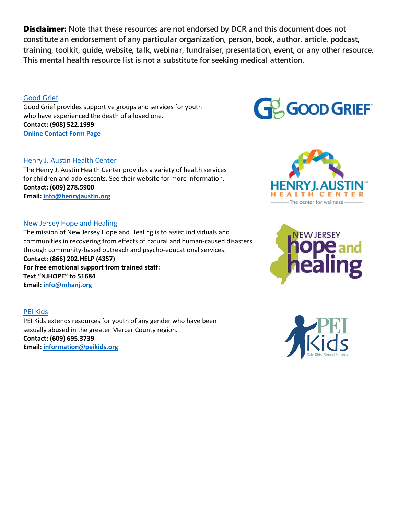#### [Good Grief](https://good-grief.org/)

Good Grief provides supportive groups and services for youth who have experienced the death of a loved one. **Contact: (908) 522.1999 [Online Contact Form Page](https://good-grief.org/contact/)**

#### Henry [J. Austin Health Center](https://henryjaustin.org/)

The Henry J. Austin Health Center provides a variety of health services for children and adolescents. See their website for more information. **Contact: (609) 278.5900 Email[: info@henryjaustin.org](mailto:info@henryjaustin.org)**

#### [New Jersey Hope and Healing](https://www.mhanj.org/njhope/)

The mission of New Jersey Hope and Healing is to assist individuals and communities in recovering from effects of natural and human-caused disasters through community-based outreach and psycho-educational services. **Contact: (866) 202.HELP (4357) For free emotional support from trained staff: Text "NJHOPE" to 51684 Email[: info@mhanj.org](mailto:info@mhanj.org)**

[PEI Kids](https://peikids.org/)

PEI Kids extends resources for youth of any gender who have been sexually abused in the greater Mercer County region. **Contact: (609) 695.3739 Email[: information@peikids.org](mailto:information@peikids.org)**







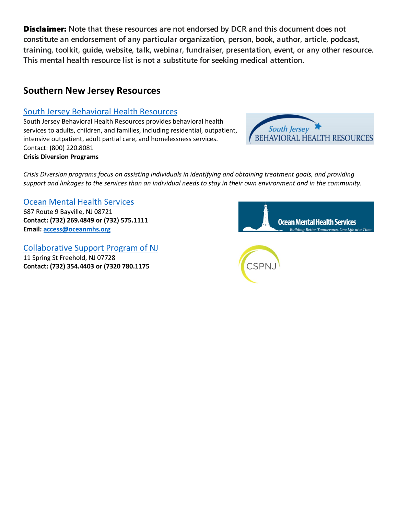## **Southern New Jersey Resources**

#### [South Jersey Behavioral Health Resources](https://www.sjbhr.org/PublicPages/Home.aspx)

South Jersey Behavioral Health Resources provides behavioral health services to adults, children, and families, including residential, outpatient, intensive outpatient, adult partial care, and homelessness services. Contact: (800) 220.8081 **Crisis Diversion Programs**



*Crisis Diversion programs focus on assisting individuals in identifying and obtaining treatment goals, and providing support and linkages to the services than an individual needs to stay in their own environment and in the community.* 

#### [Ocean Mental Health Services](http://oceanmhs.org/)

687 Route 9 Bayville, NJ 08721 **Contact: (732) 269.4849 or (732) 575.1111 Email[: access@oceanmhs.org](mailto:access@oceanmhs.org)**

[Collaborative Support Program of NJ](https://cspnj.org/) 11 Spring St Freehold, NJ 07728 **Contact: (732) 354.4403 or (7320 780.1175**